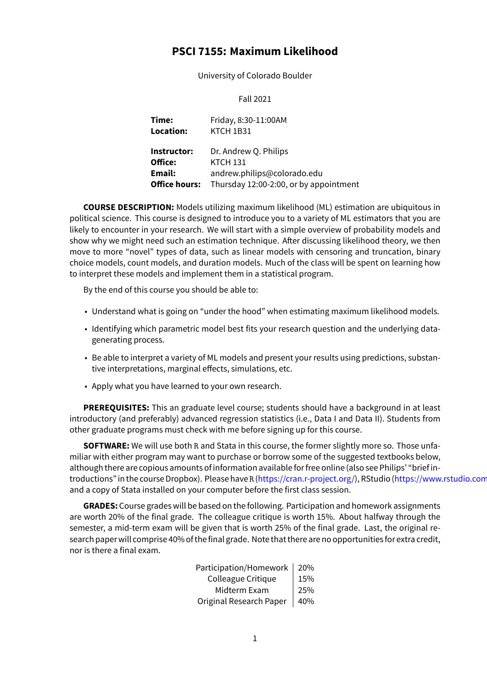# **PSCI 7155: Maximum Likelihood**

University of Colorado Boulder

Fall 2021

| Time:                | Friday, 8:30-11:00AM                   |
|----------------------|----------------------------------------|
| Location:            | KTCH 1B31                              |
| Instructor:          | Dr. Andrew Q. Philips                  |
| Office:              | <b>KTCH 131</b>                        |
| Email:               | andrew.philips@colorado.edu            |
| <b>Office hours:</b> | Thursday 12:00-2:00, or by appointment |

**COURSE DESCRIPTION:** Models utilizing maximum likelihood (ML) estimation are ubiquitous in political science. This course is designed to introduce you to a variety of ML estimators that you are likely to encounter in your research. We will start with a simple overview of probability models and show why we might need such an estimation technique. After discussing likelihood theory, we then move to more "novel" types of data, such as linear models with censoring and truncation, binary choice models, count models, and duration models. Much of the class will be spent on learning how to interpret these models and implement them in a statistical program.

By the end of this course you should be able to:

- Understand what is going on "under the hood" when estimating maximum likelihood models.
- Identifying which parametric model best fits your research question and the underlying datagenerating process.
- Be able to interpret a variety of ML models and present your results using predictions, substantive interpretations, marginal effects, simulations, etc.
- Apply what you have learned to your own research.

**PREREQUISITES:** This an graduate level course; students should have a background in at least introductory (and preferably) advanced regression statistics (i.e., Data I and Data II). Students from other graduate programs must check with me before signing up for this course.

**SOFTWARE:** We will use both R and Stata in this course, the former slightly more so. Those unfamiliar with either program may want to purchase or borrow some of the suggested textbooks below, although there are copious amounts of information available for free online (also see Philips' "brief introductions" in the course Dropbox). Please have R (https://cran.r-project.org/), RStudio (https://www.rstudio.com/) and a copy of Stata installed on your computer before the first class session.

**GRADES:** Course grades will be based on the following. Participation and homework assignments are worth 20% of the final grade. The colleague c[ritique is worth 15%. Abou](https://cran.r-project.org/)t halfway [through the](https://www.rstudio.com/) semester, a mid-term exam will be given that is worth 25% of the final grade. Last, the original research paper will comprise 40% of the final grade. Note that there are no opportunities for extra credit, nor is there a final exam.

| Participation/Homework  | 20% |
|-------------------------|-----|
| Colleague Critique      | 15% |
| Midterm Exam            | 25% |
| Original Research Paper | 40% |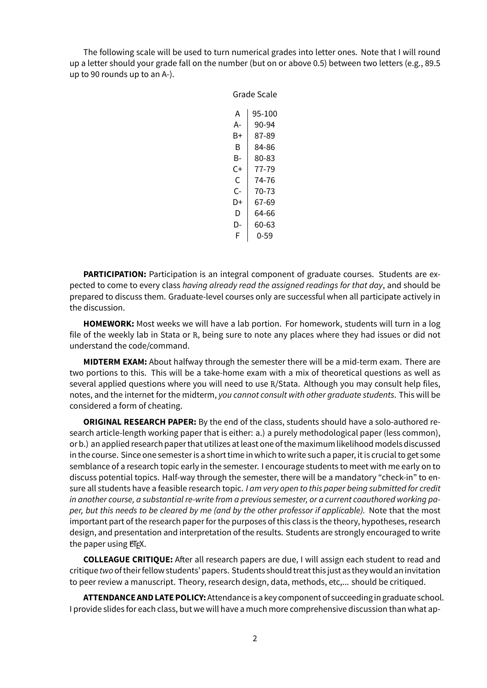The following scale will be used to turn numerical grades into letter ones. Note that I will round up a letter should your grade fall on the number (but on or above 0.5) between two letters (e.g., 89.5 up to 90 rounds up to an A-).

Grade Scale

| Grade Scale |        |  |
|-------------|--------|--|
|             |        |  |
| А           | 95-100 |  |
| А-          | 90-94  |  |
| B+          | 87-89  |  |
| R           | 84-86  |  |
| B-          | 80-83  |  |
| C+          | 77-79  |  |
| C           | 74-76  |  |
| C-          | 70-73  |  |
| D+          | 67-69  |  |
| D           | 64-66  |  |
| D-          | 60-63  |  |
| F           | 0-59   |  |

**PARTICIPATION:** Participation is an integral component of graduate courses. Students are expected to come to every class *having already read the assigned readings for that day*, and should be prepared to discuss them. Graduate-level courses only are successful when all participate actively in the discussion.

**HOMEWORK:** Most weeks we will have a lab portion. For homework, students will turn in a log file of the weekly lab in Stata or R, being sure to note any places where they had issues or did not understand the code/command.

**MIDTERM EXAM:** About halfway through the semester there will be a mid-term exam. There are two portions to this. This will be a take-home exam with a mix of theoretical questions as well as several applied questions where you will need to use R/Stata. Although you may consult help files, notes, and the internet for the midterm, *you cannot consult with other graduate students*. This will be considered a form of cheating.

**ORIGINAL RESEARCH PAPER:** By the end of the class, students should have a solo-authored research article-length working paper that is either: a.) a purely methodological paper (less common), or b.) an applied research paper that utilizes at least one of the maximum likelihood models discussed in the course. Since one semester is a short time in which to write such a paper, it is crucial to get some semblance of a research topic early in the semester. I encourage students to meet with me early on to discuss potential topics. Half-way through the semester, there will be a mandatory "check-in" to ensure all students have a feasible research topic. *I am very open to this paper being submitted for credit in another course, a substantial re-write from a previous semester, or a current coauthored working paper, but this needs to be cleared by me (and by the other professor if applicable).* Note that the most important part of the research paper for the purposes of this class is the theory, hypotheses, research design, and presentation and interpretation of the results. Students are strongly encouraged to write the paper using  $ET$ <sub>F</sub>X.

**COLLEAGUE CRITIQUE:** After all research papers are due, I will assign each student to read and critique *two*of theirfellow students' papers. Students should treat this just as they would an invitation to peer review a manuscript. Theory, research design, data, methods, etc,... should be critiqued.

**ATTENDANCE AND LATE POLICY:**Attendance is a key component of succeeding in graduate school. I provide slides for each class, but we will have a much more comprehensive discussion than what ap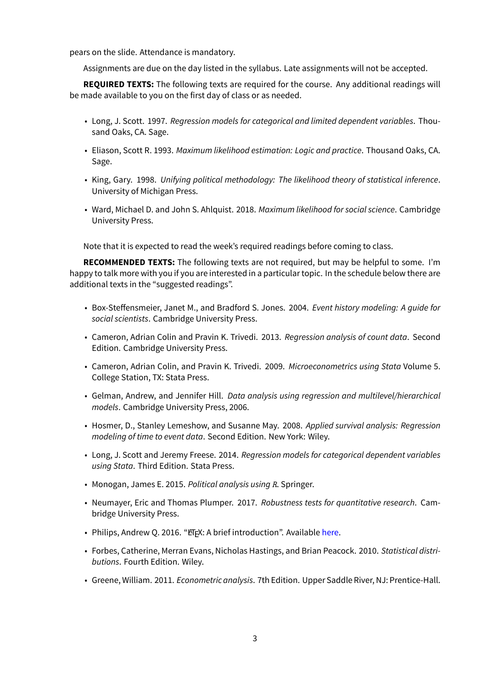pears on the slide. Attendance is mandatory.

Assignments are due on the day listed in the syllabus. Late assignments will not be accepted.

**REQUIRED TEXTS:** The following texts are required for the course. Any additional readings will be made available to you on the first day of class or as needed.

- Long, J. Scott. 1997. *Regression models for categorical and limited dependent variables*. Thousand Oaks, CA. Sage.
- Eliason, Scott R. 1993. *Maximum likelihood estimation: Logic and practice*. Thousand Oaks, CA. Sage.
- King, Gary. 1998. *Unifying political methodology: The likelihood theory of statistical inference*. University of Michigan Press.
- Ward, Michael D. and John S. Ahlquist. 2018. *Maximum likelihood for social science*. Cambridge University Press.

Note that it is expected to read the week's required readings before coming to class.

**RECOMMENDED TEXTS:** The following texts are not required, but may be helpful to some. I'm happy to talk more with you if you are interested in a particular topic. In the schedule below there are additional texts in the "suggested readings".

- Box-Steffensmeier, Janet M., and Bradford S. Jones. 2004. *Event history modeling: A guide for social scientists*. Cambridge University Press.
- Cameron, Adrian Colin and Pravin K. Trivedi. 2013. *Regression analysis of count data*. Second Edition. Cambridge University Press.
- Cameron, Adrian Colin, and Pravin K. Trivedi. 2009. *Microeconometrics using Stata* Volume 5. College Station, TX: Stata Press.
- Gelman, Andrew, and Jennifer Hill. *Data analysis using regression and multilevel/hierarchical models*. Cambridge University Press, 2006.
- Hosmer, D., Stanley Lemeshow, and Susanne May. 2008. *Applied survival analysis: Regression modeling of time to event data*. Second Edition. New York: Wiley.
- Long, J. Scott and Jeremy Freese. 2014. *Regression models for categorical dependent variables using Stata*. Third Edition. Stata Press.
- Monogan, James E. 2015. *Political analysis using R*. Springer.
- Neumayer, Eric and Thomas Plumper. 2017. *Robustness tests for quantitative research*. Cambridge University Press.
- Philips, Andrew Q. 2016. "ET<sub>F</sub>X: A brief introduction". Available here.
- Forbes, Catherine, Merran Evans, Nicholas Hastings, and Brian Peacock. 2010. *Statistical distributions*. Fourth Edition. Wiley.
- Greene, William. 2011. *Econometric analysis*. 7th Edition. Upp[er Sad](http://www.andyphilips.com/downloads/introduction%20to%20latex%20Philips.pdf)dle River, NJ: Prentice-Hall.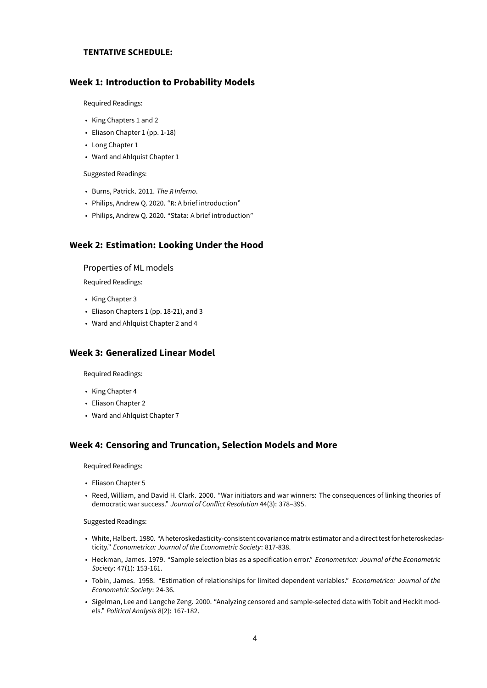### **TENTATIVE SCHEDULE:**

### **Week 1: Introduction to Probability Models**

Required Readings:

- King Chapters 1 and 2
- Eliason Chapter 1 (pp. 1-18)
- Long Chapter 1
- Ward and Ahlquist Chapter 1

Suggested Readings:

- Burns, Patrick. 2011. *The R Inferno*.
- Philips, Andrew Q. 2020. "R: A brief introduction"
- Philips, Andrew Q. 2020. "Stata: A brief introduction"

### **Week 2: Estimation: Looking Under the Hood**

Properties of ML models

Required Readings:

- King Chapter 3
- Eliason Chapters 1 (pp. 18-21), and 3
- Ward and Ahlquist Chapter 2 and 4

## **Week 3: Generalized Linear Model**

Required Readings:

- King Chapter 4
- Eliason Chapter 2
- Ward and Ahlquist Chapter 7

### **Week 4: Censoring and Truncation, Selection Models and More**

Required Readings:

- Eliason Chapter 5
- Reed, William, and David H. Clark. 2000. "War initiators and war winners: The consequences of linking theories of democratic war success." *Journal of Conflict Resolution* 44(3): 378–395.

#### Suggested Readings:

- White, Halbert. 1980. "A heteroskedasticity-consistent covariancematrix estimator and a direct testfor heteroskedasticity." *Econometrica: Journal of the Econometric Society*: 817-838.
- Heckman, James. 1979. "Sample selection bias as a specification error." *Econometrica: Journal of the Econometric Society*: 47(1): 153-161.
- Tobin, James. 1958. "Estimation of relationships for limited dependent variables." *Econometrica: Journal of the Econometric Society*: 24-36.
- Sigelman, Lee and Langche Zeng. 2000. "Analyzing censored and sample-selected data with Tobit and Heckit models." *Political Analysis* 8(2): 167-182.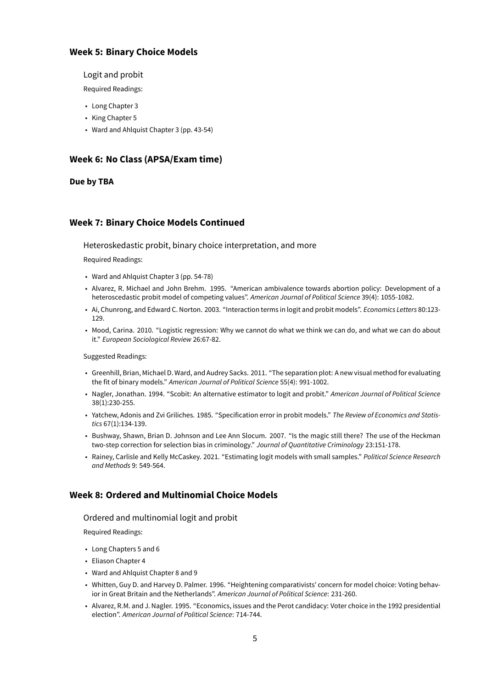## **Week 5: Binary Choice Models**

### Logit and probit

Required Readings:

- Long Chapter 3
- King Chapter 5
- Ward and Ahlquist Chapter 3 (pp. 43-54)

## **Week 6: No Class (APSA/Exam time)**

### **Due by TBA**

## **Week 7: Binary Choice Models Continued**

Heteroskedastic probit, binary choice interpretation, and more

Required Readings:

- Ward and Ahlquist Chapter 3 (pp. 54-78)
- Alvarez, R. Michael and John Brehm. 1995. "American ambivalence towards abortion policy: Development of a heteroscedastic probit model of competing values". *American Journal of Political Science* 39(4): 1055-1082.
- Ai, Chunrong, and Edward C. Norton. 2003. "Interaction terms in logit and probit models". *Economics Letters* 80:123- 129.
- Mood, Carina. 2010. "Logistic regression: Why we cannot do what we think we can do, and what we can do about it." *European Sociological Review* 26:67-82.

#### Suggested Readings:

- Greenhill, Brian, Michael D. Ward, and Audrey Sacks. 2011. "The separation plot: A new visual method for evaluating the fit of binary models." *American Journal of Political Science* 55(4): 991-1002.
- Nagler, Jonathan. 1994. "Scobit: An alternative estimator to logit and probit." *American Journal of Political Science* 38(1):230-255.
- Yatchew, Adonis and Zvi Griliches. 1985. "Specification error in probit models." *The Review of Economics and Statistics* 67(1):134-139.
- Bushway, Shawn, Brian D. Johnson and Lee Ann Slocum. 2007. "Is the magic still there? The use of the Heckman two-step correction for selection bias in criminology." *Journal of Quantitative Criminology* 23:151-178.
- Rainey, Carlisle and Kelly McCaskey. 2021. "Estimating logit models with small samples." *Political Science Research and Methods* 9: 549-564.

## **Week 8: Ordered and Multinomial Choice Models**

### Ordered and multinomial logit and probit

Required Readings:

- Long Chapters 5 and 6
- Eliason Chapter 4
- Ward and Ahlquist Chapter 8 and 9
- Whitten, Guy D. and Harvey D. Palmer. 1996. "Heightening comparativists' concern for model choice: Voting behavior in Great Britain and the Netherlands". *American Journal of Political Science*: 231-260.
- Alvarez, R.M. and J. Nagler. 1995. "Economics, issues and the Perot candidacy: Voter choice in the 1992 presidential election". *American Journal of Political Science*: 714-744.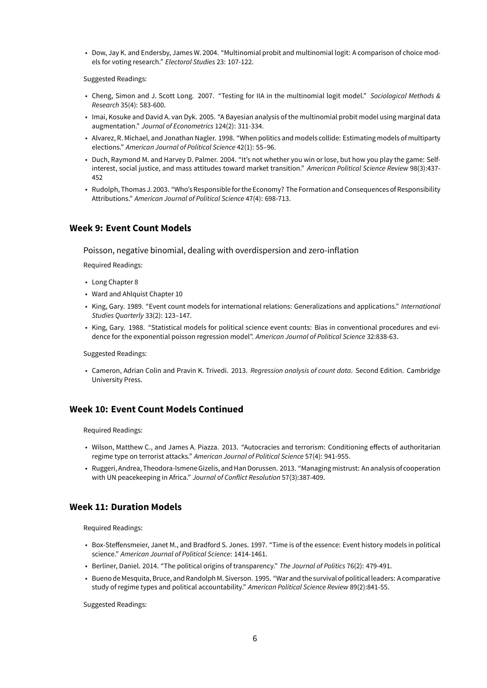• Dow, Jay K. and Endersby, James W. 2004. "Multinomial probit and multinomial logit: A comparison of choice models for voting research." *Electoral Studies* 23: 107-122.

Suggested Readings:

- Cheng, Simon and J. Scott Long. 2007. "Testing for IIA in the multinomial logit model." *Sociological Methods & Research* 35(4): 583-600.
- Imai, Kosuke and David A. van Dyk. 2005. "A Bayesian analysis of the multinomial probit model using marginal data augmentation." *Journal of Econometrics* 124(2): 311-334.
- Alvarez, R. Michael, and Jonathan Nagler. 1998. "When politics and models collide: Estimating models of multiparty elections." *American Journal of Political Science* 42(1): 55–96.
- Duch, Raymond M. and Harvey D. Palmer. 2004. "It's not whether you win or lose, but how you play the game: Selfinterest, social justice, and mass attitudes toward market transition." *American Political Science Review* 98(3):437- 452
- Rudolph, Thomas J. 2003. "Who's Responsiblefor the Economy? The Formation and Consequences of Responsibility Attributions." *American Journal of Political Science* 47(4): 698-713.

## **Week 9: Event Count Models**

Poisson, negative binomial, dealing with overdispersion and zero-inflation

Required Readings:

- Long Chapter 8
- Ward and Ahlquist Chapter 10
- King, Gary. 1989. "Event count models for international relations: Generalizations and applications." *International Studies Quarterly* 33(2): 123–147.
- King, Gary. 1988. "Statistical models for political science event counts: Bias in conventional procedures and evidence for the exponential poisson regression model". *American Journal of Political Science* 32:838-63.

Suggested Readings:

• Cameron, Adrian Colin and Pravin K. Trivedi. 2013. *Regression analysis of count data*. Second Edition. Cambridge University Press.

## **Week 10: Event Count Models Continued**

Required Readings:

- Wilson, Matthew C., and James A. Piazza. 2013. "Autocracies and terrorism: Conditioning effects of authoritarian regime type on terrorist attacks." *American Journal of Political Science* 57(4): 941-955.
- Ruggeri, Andrea, Theodora-Ismene Gizelis, and Han Dorussen. 2013. "Managingmistrust: An analysis of cooperation with UN peacekeeping in Africa." *Journal of Conflict Resolution* 57(3):387-409.

### **Week 11: Duration Models**

Required Readings:

- Box-Steffensmeier, Janet M., and Bradford S. Jones. 1997. "Time is of the essence: Event history models in political science." *American Journal of Political Science*: 1414-1461.
- Berliner, Daniel. 2014. "The political origins of transparency." *The Journal of Politics* 76(2): 479-491.
- Bueno de Mesquita, Bruce, and Randolph M. Siverson. 1995. "War and the survival of political leaders: A comparative study of regime types and political accountability." *American Political Science Review* 89(2):841-55.

Suggested Readings: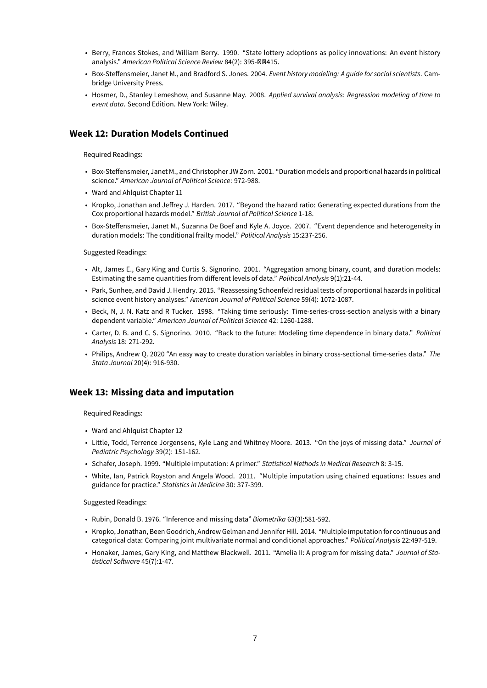- Berry, Frances Stokes, and William Berry. 1990. "State lottery adoptions as policy innovations: An event history analysis." American Political Science Review 84(2): 395-**ØØ415.**
- Box-Steffensmeier, Janet M., and Bradford S. Jones. 2004. *Event history modeling: A guide for social scientists*. Cambridge University Press.
- Hosmer, D., Stanley Lemeshow, and Susanne May. 2008. *Applied survival analysis: Regression modeling of time to event data*. Second Edition. New York: Wiley.

### **Week 12: Duration Models Continued**

Required Readings:

- Box-Steffensmeier, Janet M., and Christopher JW Zorn. 2001. "Duration models and proportional hazards in political science." *American Journal of Political Science*: 972-988.
- Ward and Ahlquist Chapter 11
- Kropko, Jonathan and Jeffrey J. Harden. 2017. "Beyond the hazard ratio: Generating expected durations from the Cox proportional hazards model." *British Journal of Political Science* 1-18.
- Box-Steffensmeier, Janet M., Suzanna De Boef and Kyle A. Joyce. 2007. "Event dependence and heterogeneity in duration models: The conditional frailty model." *Political Analysis* 15:237-256.

Suggested Readings:

- Alt, James E., Gary King and Curtis S. Signorino. 2001. "Aggregation among binary, count, and duration models: Estimating the same quantities from different levels of data." *Political Analysis* 9(1):21-44.
- Park, Sunhee, and David J. Hendry. 2015. "Reassessing Schoenfeld residual tests of proportional hazards in political science event history analyses." *American Journal of Political Science* 59(4): 1072-1087.
- Beck, N, J. N. Katz and R Tucker. 1998. "Taking time seriously: Time-series-cross-section analysis with a binary dependent variable." *American Journal of Political Science* 42: 1260-1288.
- Carter, D. B. and C. S. Signorino. 2010. "Back to the future: Modeling time dependence in binary data." *Political Analysis* 18: 271-292.
- Philips, Andrew Q. 2020 "An easy way to create duration variables in binary cross-sectional time-series data." *The Stata Journal* 20(4): 916-930.

### **Week 13: Missing data and imputation**

Required Readings:

- Ward and Ahlquist Chapter 12
- Little, Todd, Terrence Jorgensens, Kyle Lang and Whitney Moore. 2013. "On the joys of missing data." *Journal of Pediatric Psychology* 39(2): 151-162.
- Schafer, Joseph. 1999. "Multiple imputation: A primer." *Statistical Methods in Medical Research* 8: 3-15.
- White, Ian, Patrick Royston and Angela Wood. 2011. "Multiple imputation using chained equations: Issues and guidance for practice." *Statistics in Medicine* 30: 377-399.

Suggested Readings:

- Rubin, Donald B. 1976. "Inference and missing data" *Biometrika* 63(3):581-592.
- Kropko, Jonathan, Been Goodrich, Andrew Gelman and Jennifer Hill. 2014. "Multiple imputation for continuous and categorical data: Comparing joint multivariate normal and conditional approaches." *Political Analysis* 22:497-519.
- Honaker, James, Gary King, and Matthew Blackwell. 2011. "Amelia II: A program for missing data." *Journal of Statistical Software* 45(7):1-47.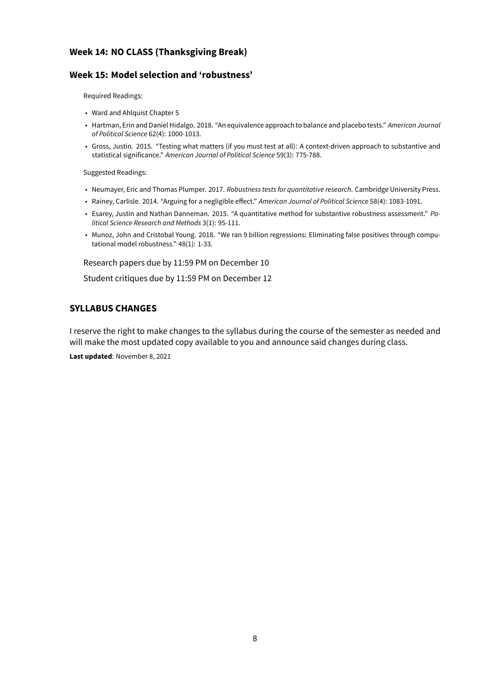## **Week 14: NO CLASS (Thanksgiving Break)**

## **Week 15: Model selection and 'robustness'**

Required Readings:

- Ward and Ahlquist Chapter 5
- Hartman, Erin and Daniel Hidalgo. 2018. "An equivalence approach to balance and placebo tests." *American Journal of Political Science* 62(4): 1000-1013.
- Gross, Justin. 2015. "Testing what matters (if you must test at all): A context-driven approach to substantive and statistical significance." *American Journal of Political Science* 59(3): 775-788.

Suggested Readings:

- Neumayer, Eric and Thomas Plumper. 2017. *Robustness tests for quantitative research*. Cambridge University Press.
- Rainey, Carlisle. 2014. "Arguing for a negligible effect." *American Journal of Political Science* 58(4): 1083-1091.
- Esarey, Justin and Nathan Danneman. 2015. "A quantitative method for substantive robustness assessment." *Political Science Research and Methods* 3(1): 95-111.
- Munoz, John and Cristobal Young. 2018. "We ran 9 billion regressions: Eliminating false positives through computational model robustness." 48(1): 1-33.

Research papers due by 11:59 PM on December 10

Student critiques due by 11:59 PM on December 12

## **SYLLABUS CHANGES**

I reserve the right to make changes to the syllabus during the course of the semester as needed and will make the most updated copy available to you and announce said changes during class. **Last updated**: November 8, 2021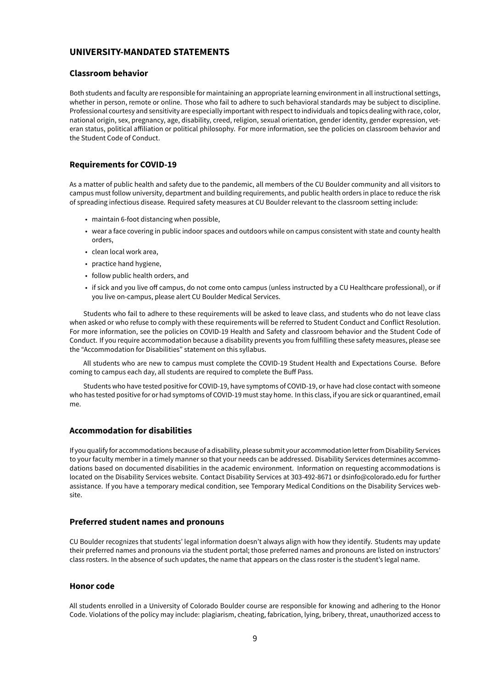## **UNIVERSITY-MANDATED STATEMENTS**

#### **Classroom behavior**

Both students and faculty are responsible for maintaining an appropriate learning environment in all instructional settings, whether in person, remote or online. Those who fail to adhere to such behavioral standards may be subject to discipline. Professional courtesy and sensitivity are especially important with respect to individuals and topics dealing with race, color, national origin, sex, pregnancy, age, disability, creed, religion, sexual orientation, gender identity, gender expression, veteran status, political affiliation or political philosophy. For more information, see the policies on classroom behavior and the Student Code of Conduct.

### **Requirements for COVID-19**

As a matter of public health and safety due to the pandemic, all members of the CU Boulder community and all visitors to campus must follow university, department and building requirements, and public health orders in place to reduce the risk of spreading infectious disease. Required safety measures at CU Boulder relevant to the classroom setting include:

- maintain 6-foot distancing when possible,
- wear a face covering in public indoor spaces and outdoors while on campus consistent with state and county health orders,
- clean local work area,
- practice hand hygiene,
- follow public health orders, and
- if sick and you live off campus, do not come onto campus (unless instructed by a CU Healthcare professional), or if you live on-campus, please alert CU Boulder Medical Services.

Students who fail to adhere to these requirements will be asked to leave class, and students who do not leave class when asked or who refuse to comply with these requirements will be referred to Student Conduct and Conflict Resolution. For more information, see the policies on COVID-19 Health and Safety and classroom behavior and the Student Code of Conduct. If you require accommodation because a disability prevents you from fulfilling these safety measures, please see the "Accommodation for Disabilities" statement on this syllabus.

All students who are new to campus must complete the COVID-19 Student Health and Expectations Course. Before coming to campus each day, all students are required to complete the Buff Pass.

Students who have tested positive for COVID-19, have symptoms of COVID-19, or have had close contact with someone who has tested positive for or had symptoms of COVID-19 must stay home. In this class, if you are sick or quarantined, email me.

### **Accommodation for disabilities**

If you qualifyfor accommodations because of a disability, please submit your accommodation letterfrom Disability Services to your faculty member in a timely manner so that your needs can be addressed. Disability Services determines accommodations based on documented disabilities in the academic environment. Information on requesting accommodations is located on the Disability Services website. Contact Disability Services at 303-492-8671 or dsinfo@colorado.edu for further assistance. If you have a temporary medical condition, see Temporary Medical Conditions on the Disability Services website.

### **Preferred student names and pronouns**

CU Boulder recognizes that students' legal information doesn't always align with how they identify. Students may update their preferred names and pronouns via the student portal; those preferred names and pronouns are listed on instructors' class rosters. In the absence of such updates, the name that appears on the class roster is the student's legal name.

### **Honor code**

All students enrolled in a University of Colorado Boulder course are responsible for knowing and adhering to the Honor Code. Violations of the policy may include: plagiarism, cheating, fabrication, lying, bribery, threat, unauthorized access to